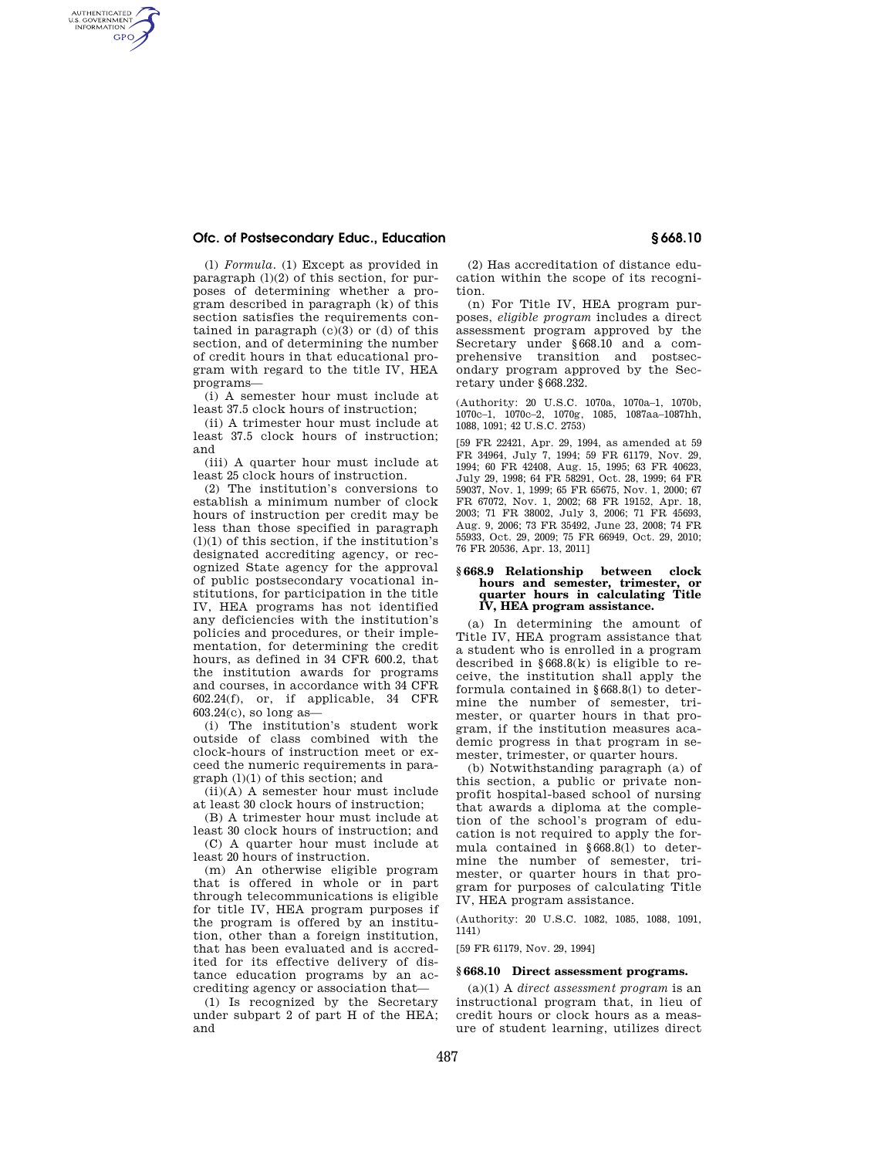## **Ofc. of Postsecondary Educ., Education § 668.10**

AUTHENTICATED<br>U.S. GOVERNMENT<br>INFORMATION **GPO** 

> (l) *Formula.* (1) Except as provided in paragraph  $(l)(2)$  of this section, for purposes of determining whether a program described in paragraph (k) of this section satisfies the requirements contained in paragraph  $(c)(3)$  or  $(d)$  of this section, and of determining the number of credit hours in that educational program with regard to the title IV, HEA programs—

> (i) A semester hour must include at least 37.5 clock hours of instruction;

> (ii) A trimester hour must include at least 37.5 clock hours of instruction; and

(iii) A quarter hour must include at least 25 clock hours of instruction.

(2) The institution's conversions to establish a minimum number of clock hours of instruction per credit may be less than those specified in paragraph  $(l)(1)$  of this section, if the institution's designated accrediting agency, or recognized State agency for the approval of public postsecondary vocational institutions, for participation in the title IV, HEA programs has not identified any deficiencies with the institution's policies and procedures, or their implementation, for determining the credit hours, as defined in 34 CFR 600.2, that the institution awards for programs and courses, in accordance with 34 CFR 602.24(f), or, if applicable, 34 CFR 603.24(c), so long as—

(i) The institution's student work outside of class combined with the clock-hours of instruction meet or exceed the numeric requirements in paragraph (l)(1) of this section; and

(ii)(A) A semester hour must include at least 30 clock hours of instruction;

(B) A trimester hour must include at least 30 clock hours of instruction; and

(C) A quarter hour must include at least 20 hours of instruction.

(m) An otherwise eligible program that is offered in whole or in part through telecommunications is eligible for title IV, HEA program purposes if the program is offered by an institution, other than a foreign institution, that has been evaluated and is accredited for its effective delivery of distance education programs by an accrediting agency or association that—

(1) Is recognized by the Secretary under subpart 2 of part H of the HEA; and

(2) Has accreditation of distance education within the scope of its recognition.

(n) For Title IV, HEA program purposes, *eligible program* includes a direct assessment program approved by the Secretary under §668.10 and a comprehensive transition and postsecondary program approved by the Secretary under §668.232.

(Authority: 20 U.S.C. 1070a, 1070a–1, 1070b, 1070c–1, 1070c–2, 1070g, 1085, 1087aa–1087hh, 1088, 1091; 42 U.S.C. 2753)

[59 FR 22421, Apr. 29, 1994, as amended at 59 FR 34964, July 7, 1994; 59 FR 61179, Nov. 29, 1994; 60 FR 42408, Aug. 15, 1995; 63 FR 40623, July 29, 1998; 64 FR 58291, Oct. 28, 1999; 64 FR 59037, Nov. 1, 1999; 65 FR 65675, Nov. 1, 2000; 67 FR 67072, Nov. 1, 2002; 68 FR 19152, Apr. 18, 2003; 71 FR 38002, July 3, 2006; 71 FR 45693, Aug. 9, 2006; 73 FR 35492, June 23, 2008; 74 FR 55933, Oct. 29, 2009; 75 FR 66949, Oct. 29, 2010; 76 FR 20536, Apr. 13, 2011]

## **§ 668.9 Relationship between clock hours and semester, trimester, or quarter hours in calculating Title IV, HEA program assistance.**

(a) In determining the amount of Title IV, HEA program assistance that a student who is enrolled in a program described in  $§668.8(k)$  is eligible to receive, the institution shall apply the formula contained in §668.8(l) to determine the number of semester, trimester, or quarter hours in that program, if the institution measures academic progress in that program in semester, trimester, or quarter hours.

(b) Notwithstanding paragraph (a) of this section, a public or private nonprofit hospital-based school of nursing that awards a diploma at the completion of the school's program of education is not required to apply the formula contained in §668.8(l) to determine the number of semester, trimester, or quarter hours in that program for purposes of calculating Title IV, HEA program assistance.

(Authority: 20 U.S.C. 1082, 1085, 1088, 1091, 1141)

[59 FR 61179, Nov. 29, 1994]

## **§ 668.10 Direct assessment programs.**

(a)(1) A *direct assessment program* is an instructional program that, in lieu of credit hours or clock hours as a measure of student learning, utilizes direct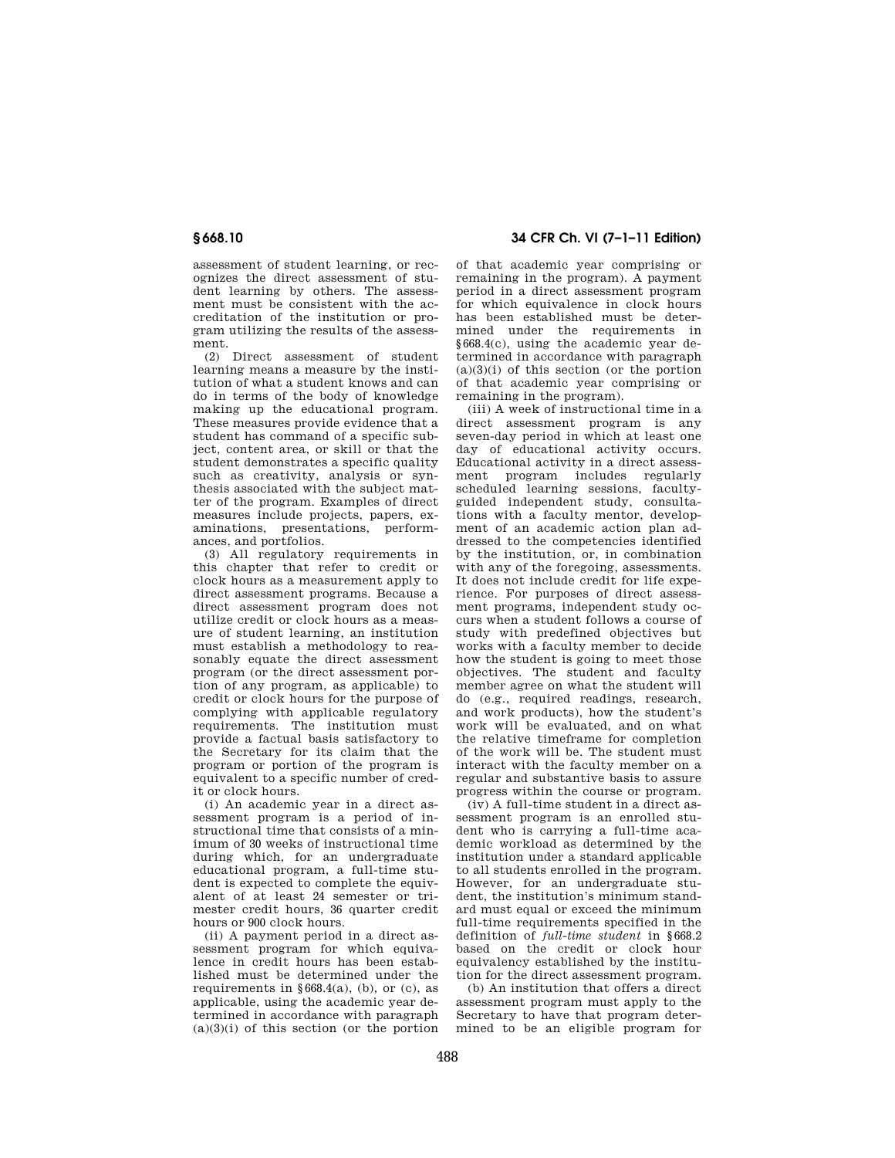assessment of student learning, or recognizes the direct assessment of student learning by others. The assessment must be consistent with the accreditation of the institution or program utilizing the results of the assessment.

(2) Direct assessment of student learning means a measure by the institution of what a student knows and can do in terms of the body of knowledge making up the educational program. These measures provide evidence that a student has command of a specific subject, content area, or skill or that the student demonstrates a specific quality such as creativity, analysis or synthesis associated with the subject matter of the program. Examples of direct measures include projects, papers, examinations, presentations, performances, and portfolios.

(3) All regulatory requirements in this chapter that refer to credit or clock hours as a measurement apply to direct assessment programs. Because a direct assessment program does not utilize credit or clock hours as a measure of student learning, an institution must establish a methodology to reasonably equate the direct assessment program (or the direct assessment portion of any program, as applicable) to credit or clock hours for the purpose of complying with applicable regulatory requirements. The institution must provide a factual basis satisfactory to the Secretary for its claim that the program or portion of the program is equivalent to a specific number of credit or clock hours.

(i) An academic year in a direct assessment program is a period of instructional time that consists of a minimum of 30 weeks of instructional time during which, for an undergraduate educational program, a full-time student is expected to complete the equivalent of at least 24 semester or trimester credit hours, 36 quarter credit hours or 900 clock hours.

(ii) A payment period in a direct assessment program for which equivalence in credit hours has been established must be determined under the requirements in  $§668.4(a)$ , (b), or (c), as applicable, using the academic year determined in accordance with paragraph  $(a)(3)(i)$  of this section (or the portion

**§ 668.10 34 CFR Ch. VI (7–1–11 Edition)** 

of that academic year comprising or remaining in the program). A payment period in a direct assessment program for which equivalence in clock hours has been established must be determined under the requirements in §668.4(c), using the academic year determined in accordance with paragraph  $(a)(3)(i)$  of this section (or the portion of that academic year comprising or remaining in the program).

(iii) A week of instructional time in a direct assessment program is any seven-day period in which at least one day of educational activity occurs. Educational activity in a direct assessment program includes regularly scheduled learning sessions, facultyguided independent study, consultations with a faculty mentor, development of an academic action plan addressed to the competencies identified by the institution, or, in combination with any of the foregoing, assessments. It does not include credit for life experience. For purposes of direct assessment programs, independent study occurs when a student follows a course of study with predefined objectives but works with a faculty member to decide how the student is going to meet those objectives. The student and faculty member agree on what the student will do (e.g., required readings, research, and work products), how the student's work will be evaluated, and on what the relative timeframe for completion of the work will be. The student must interact with the faculty member on a regular and substantive basis to assure progress within the course or program.

(iv) A full-time student in a direct assessment program is an enrolled student who is carrying a full-time academic workload as determined by the institution under a standard applicable to all students enrolled in the program. However, for an undergraduate student, the institution's minimum standard must equal or exceed the minimum full-time requirements specified in the definition of *full-time student* in §668.2 based on the credit or clock hour equivalency established by the institution for the direct assessment program.

(b) An institution that offers a direct assessment program must apply to the Secretary to have that program determined to be an eligible program for